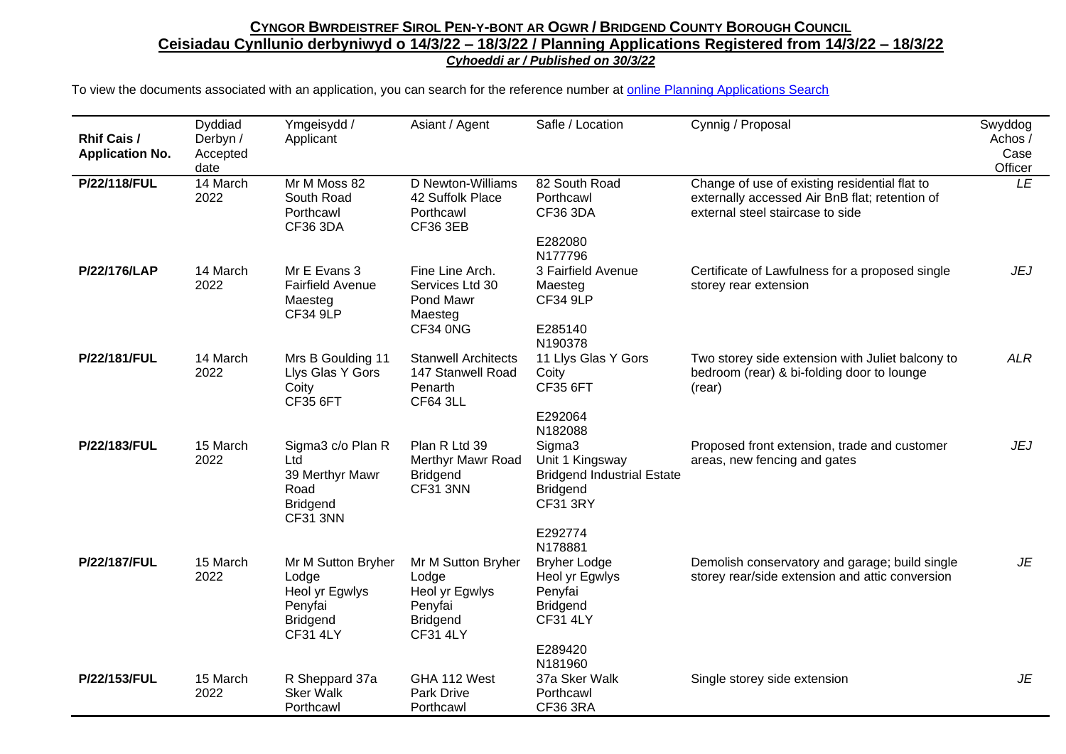## CYNGOR BWRDEISTREF SIROL PEN-Y-BONT AR OGWR / BRIDGEND COUNTY BOROUGH COUNCIL **Ceisiadau Cynllunio derbyniwyd o 14/3/22 – 18/3/22 / Planning Applications Registered from 14/3/22 – 18/3/22** *Cyhoeddi ar / Published on 30/3/22*

To view the documents associated with an application, you can search for the reference number at [online Planning Applications Search](http://planning.bridgend.gov.uk/)

| <b>Rhif Cais /</b><br><b>Application No.</b> | Dyddiad<br>Derbyn /<br>Accepted<br>date | Ymgeisydd /<br>Applicant                                                                       | Asiant / Agent                                                                                 | Safle / Location                                                                                                           | Cynnig / Proposal                                                                                                                   | Swyddog<br>Achos /<br>Case<br>Officer |
|----------------------------------------------|-----------------------------------------|------------------------------------------------------------------------------------------------|------------------------------------------------------------------------------------------------|----------------------------------------------------------------------------------------------------------------------------|-------------------------------------------------------------------------------------------------------------------------------------|---------------------------------------|
| P/22/118/FUL                                 | 14 March<br>2022                        | Mr M Moss 82<br>South Road<br>Porthcawl<br><b>CF36 3DA</b>                                     | D Newton-Williams<br>42 Suffolk Place<br>Porthcawl<br><b>CF36 3EB</b>                          | 82 South Road<br>Porthcawl<br><b>CF36 3DA</b><br>E282080                                                                   | Change of use of existing residential flat to<br>externally accessed Air BnB flat; retention of<br>external steel staircase to side | LE                                    |
| P/22/176/LAP                                 | 14 March<br>2022                        | Mr E Evans 3<br><b>Fairfield Avenue</b><br>Maesteg<br><b>CF34 9LP</b>                          | Fine Line Arch.<br>Services Ltd 30<br>Pond Mawr<br>Maesteg<br>CF34 0NG                         | N177796<br>3 Fairfield Avenue<br>Maesteg<br><b>CF34 9LP</b><br>E285140<br>N190378                                          | Certificate of Lawfulness for a proposed single<br>storey rear extension                                                            | JEJ                                   |
| P/22/181/FUL                                 | 14 March<br>2022                        | Mrs B Goulding 11<br>Llys Glas Y Gors<br>Coity<br><b>CF35 6FT</b>                              | <b>Stanwell Architects</b><br>147 Stanwell Road<br>Penarth<br><b>CF64 3LL</b>                  | 11 Llys Glas Y Gors<br>Coity<br><b>CF35 6FT</b><br>E292064<br>N182088                                                      | Two storey side extension with Juliet balcony to<br>bedroom (rear) & bi-folding door to lounge<br>(rear)                            | <b>ALR</b>                            |
| P/22/183/FUL                                 | 15 March<br>2022                        | Sigma3 c/o Plan R<br>Ltd<br>39 Merthyr Mawr<br>Road<br><b>Bridgend</b><br><b>CF31 3NN</b>      | Plan R Ltd 39<br>Merthyr Mawr Road<br><b>Bridgend</b><br><b>CF31 3NN</b>                       | Sigma3<br>Unit 1 Kingsway<br><b>Bridgend Industrial Estate</b><br><b>Bridgend</b><br><b>CF31 3RY</b><br>E292774<br>N178881 | Proposed front extension, trade and customer<br>areas, new fencing and gates                                                        | JEJ                                   |
| P/22/187/FUL                                 | 15 March<br>2022                        | Mr M Sutton Bryher<br>Lodge<br>Heol yr Egwlys<br>Penyfai<br><b>Bridgend</b><br><b>CF31 4LY</b> | Mr M Sutton Bryher<br>Lodge<br>Heol yr Egwlys<br>Penyfai<br><b>Bridgend</b><br><b>CF31 4LY</b> | <b>Bryher Lodge</b><br>Heol yr Egwlys<br>Penyfai<br><b>Bridgend</b><br><b>CF31 4LY</b><br>E289420<br>N181960               | Demolish conservatory and garage; build single<br>storey rear/side extension and attic conversion                                   | <b>JE</b>                             |
| P/22/153/FUL                                 | 15 March<br>2022                        | R Sheppard 37a<br><b>Sker Walk</b><br>Porthcawl                                                | GHA 112 West<br>Park Drive<br>Porthcawl                                                        | 37a Sker Walk<br>Porthcawl<br>CF36 3RA                                                                                     | Single storey side extension                                                                                                        | JE                                    |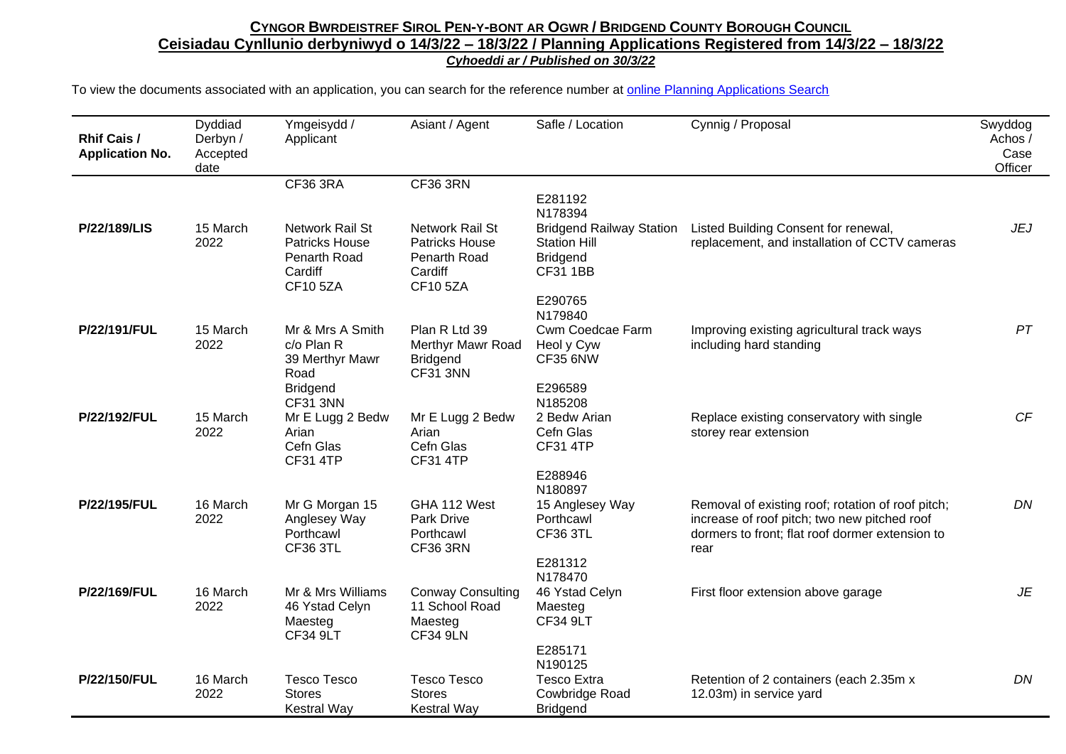## CYNGOR BWRDEISTREF SIROL PEN-Y-BONT AR OGWR / BRIDGEND COUNTY BOROUGH COUNCIL **Ceisiadau Cynllunio derbyniwyd o 14/3/22 – 18/3/22 / Planning Applications Registered from 14/3/22 – 18/3/22** *Cyhoeddi ar / Published on 30/3/22*

To view the documents associated with an application, you can search for the reference number at [online Planning Applications Search](http://planning.bridgend.gov.uk/)

| <b>Rhif Cais /</b><br><b>Application No.</b> | Dyddiad<br>Derbyn /<br>Accepted<br>date | Ymgeisydd /<br>Applicant                                                       | Asiant / Agent                                                                 | Safle / Location                                                                             | Cynnig / Proposal                                                                                                                                            | Swyddog<br>Achos /<br>Case<br>Officer |
|----------------------------------------------|-----------------------------------------|--------------------------------------------------------------------------------|--------------------------------------------------------------------------------|----------------------------------------------------------------------------------------------|--------------------------------------------------------------------------------------------------------------------------------------------------------------|---------------------------------------|
|                                              |                                         | CF36 3RA                                                                       | <b>CF36 3RN</b>                                                                | E281192<br>N178394                                                                           |                                                                                                                                                              |                                       |
| P/22/189/LIS                                 | 15 March<br>2022                        | Network Rail St<br>Patricks House<br>Penarth Road<br>Cardiff<br><b>CF105ZA</b> | Network Rail St<br>Patricks House<br>Penarth Road<br>Cardiff<br><b>CF105ZA</b> | <b>Bridgend Railway Station</b><br><b>Station Hill</b><br><b>Bridgend</b><br><b>CF31 1BB</b> | Listed Building Consent for renewal,<br>replacement, and installation of CCTV cameras                                                                        | <b>JEJ</b>                            |
|                                              |                                         |                                                                                |                                                                                | E290765<br>N179840                                                                           |                                                                                                                                                              |                                       |
| P/22/191/FUL                                 | 15 March<br>2022                        | Mr & Mrs A Smith<br>c/o Plan R<br>39 Merthyr Mawr<br>Road                      | Plan R Ltd 39<br>Merthyr Mawr Road<br><b>Bridgend</b><br><b>CF31 3NN</b>       | Cwm Coedcae Farm<br>Heol y Cyw<br><b>CF35 6NW</b>                                            | Improving existing agricultural track ways<br>including hard standing                                                                                        | PT                                    |
|                                              |                                         | <b>Bridgend</b><br><b>CF31 3NN</b>                                             |                                                                                | E296589<br>N185208                                                                           |                                                                                                                                                              |                                       |
| P/22/192/FUL                                 | 15 March<br>2022                        | Mr E Lugg 2 Bedw<br>Arian<br>Cefn Glas<br><b>CF31 4TP</b>                      | Mr E Lugg 2 Bedw<br>Arian<br>Cefn Glas<br><b>CF31 4TP</b>                      | 2 Bedw Arian<br>Cefn Glas<br><b>CF31 4TP</b>                                                 | Replace existing conservatory with single<br>storey rear extension                                                                                           | CF                                    |
|                                              |                                         |                                                                                |                                                                                | E288946<br>N180897                                                                           |                                                                                                                                                              |                                       |
| P/22/195/FUL                                 | 16 March<br>2022                        | Mr G Morgan 15<br>Anglesey Way<br>Porthcawl<br><b>CF36 3TL</b>                 | GHA 112 West<br>Park Drive<br>Porthcawl<br>CF36 3RN                            | 15 Anglesey Way<br>Porthcawl<br><b>CF36 3TL</b>                                              | Removal of existing roof; rotation of roof pitch;<br>increase of roof pitch; two new pitched roof<br>dormers to front; flat roof dormer extension to<br>rear | DN                                    |
|                                              |                                         |                                                                                |                                                                                | E281312<br>N178470                                                                           |                                                                                                                                                              |                                       |
| P/22/169/FUL                                 | 16 March<br>2022                        | Mr & Mrs Williams<br>46 Ystad Celyn<br>Maesteg<br><b>CF34 9LT</b>              | <b>Conway Consulting</b><br>11 School Road<br>Maesteg<br><b>CF34 9LN</b>       | 46 Ystad Celyn<br>Maesteg<br><b>CF34 9LT</b>                                                 | First floor extension above garage                                                                                                                           | JE                                    |
|                                              |                                         |                                                                                |                                                                                | E285171<br>N190125                                                                           |                                                                                                                                                              |                                       |
| P/22/150/FUL                                 | 16 March<br>2022                        | <b>Tesco Tesco</b><br><b>Stores</b><br><b>Kestral Way</b>                      | <b>Tesco Tesco</b><br><b>Stores</b><br><b>Kestral Way</b>                      | <b>Tesco Extra</b><br>Cowbridge Road<br><b>Bridgend</b>                                      | Retention of 2 containers (each 2.35m x<br>12.03m) in service yard                                                                                           | DN                                    |